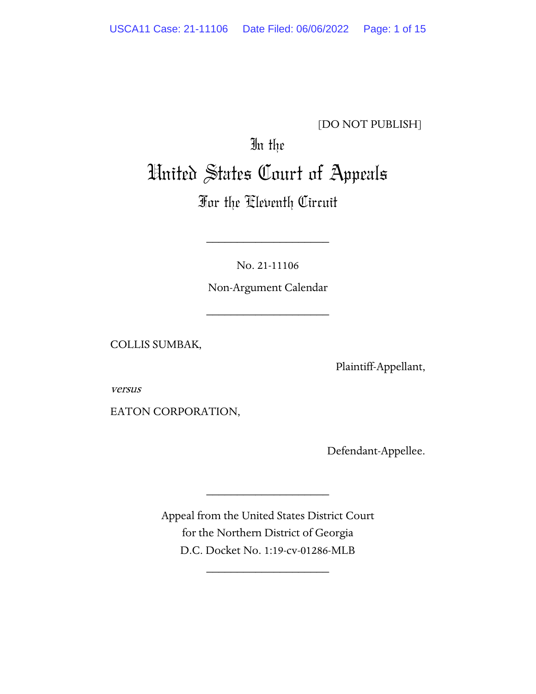# [DO NOT PUBLISH]

# In the United States Court of Appeals

# For the Eleventh Circuit

No. 21-11106

\_\_\_\_\_\_\_\_\_\_\_\_\_\_\_\_\_\_\_\_

Non-Argument Calendar

\_\_\_\_\_\_\_\_\_\_\_\_\_\_\_\_\_\_\_\_

COLLIS SUMBAK,

Plaintiff-Appellant,

versus

EATON CORPORATION,

Defendant-Appellee.

Appeal from the United States District Court for the Northern District of Georgia D.C. Docket No. 1:19-cv-01286-MLB

\_\_\_\_\_\_\_\_\_\_\_\_\_\_\_\_\_\_\_\_

\_\_\_\_\_\_\_\_\_\_\_\_\_\_\_\_\_\_\_\_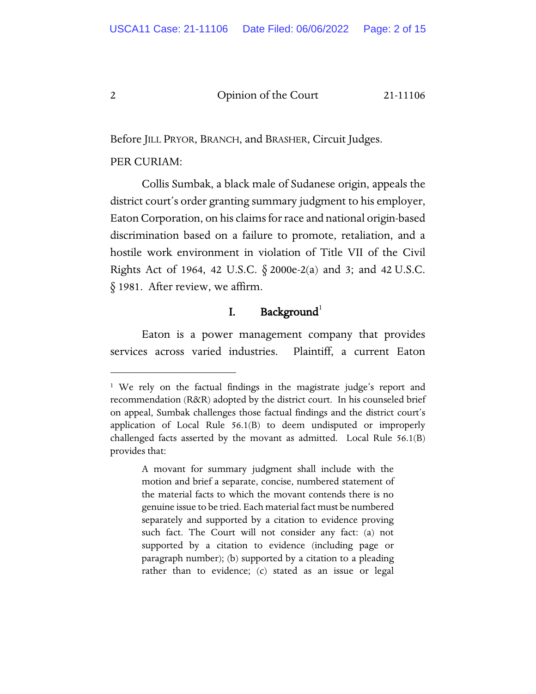Before JILL PRYOR, BRANCH, and BRASHER, Circuit Judges.

#### PER CURIAM:

Collis Sumbak, a black male of Sudanese origin, appeals the district court's order granting summary judgment to his employer, Eaton Corporation, on his claims for race and national origin-based discrimination based on a failure to promote, retaliation, and a hostile work environment in violation of Title VII of the Civil Rights Act of 1964, 42 U.S.C. § 2000e-2(a) and 3; and 42 U.S.C. § 1981. After review, we affirm.

# I. Background $^1$  $^1$

Eaton is a power management company that provides services across varied industries. Plaintiff, a current Eaton

A movant for summary judgment shall include with the motion and brief a separate, concise, numbered statement of the material facts to which the movant contends there is no genuine issue to be tried. Each material fact must be numbered separately and supported by a citation to evidence proving such fact. The Court will not consider any fact: (a) not supported by a citation to evidence (including page or paragraph number); (b) supported by a citation to a pleading rather than to evidence; (c) stated as an issue or legal

<span id="page-1-0"></span><sup>&</sup>lt;sup>1</sup> We rely on the factual findings in the magistrate judge's report and recommendation (R&R) adopted by the district court. In his counseled brief on appeal, Sumbak challenges those factual findings and the district court's application of Local Rule 56.1(B) to deem undisputed or improperly challenged facts asserted by the movant as admitted. Local Rule 56.1(B) provides that: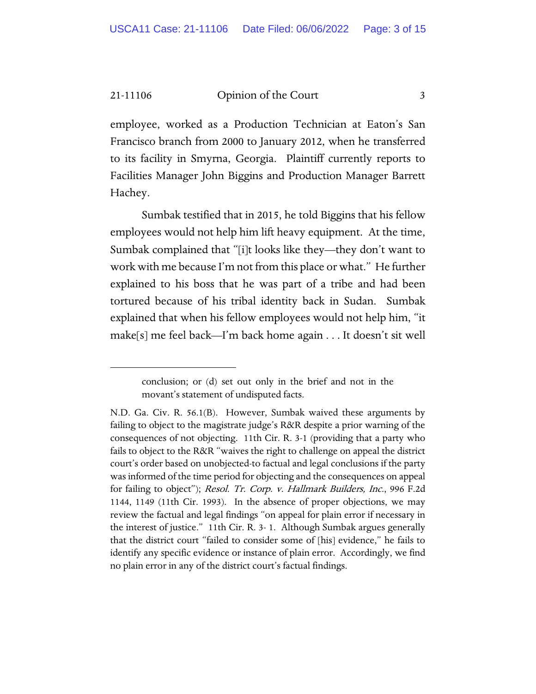employee, worked as a Production Technician at Eaton's San Francisco branch from 2000 to January 2012, when he transferred to its facility in Smyrna, Georgia. Plaintiff currently reports to Facilities Manager John Biggins and Production Manager Barrett Hachey.

Sumbak testified that in 2015, he told Biggins that his fellow employees would not help him lift heavy equipment. At the time, Sumbak complained that "[i]t looks like they—they don't want to work with me because I'm not from this place or what." He further explained to his boss that he was part of a tribe and had been tortured because of his tribal identity back in Sudan. Sumbak explained that when his fellow employees would not help him, "it make[s] me feel back—I'm back home again . . . It doesn't sit well

conclusion; or (d) set out only in the brief and not in the movant's statement of undisputed facts.

N.D. Ga. Civ. R. 56.1(B). However, Sumbak waived these arguments by failing to object to the magistrate judge's R&R despite a prior warning of the consequences of not objecting. 11th Cir. R. 3-1 (providing that a party who fails to object to the R&R "waives the right to challenge on appeal the district court's order based on unobjected-to factual and legal conclusions if the party was informed of the time period for objecting and the consequences on appeal for failing to object"); Resol. Tr. Corp. v. Hallmark Builders, Inc., 996 F.2d 1144, 1149 (11th Cir. 1993). In the absence of proper objections, we may review the factual and legal findings "on appeal for plain error if necessary in the interest of justice." 11th Cir. R. 3- 1. Although Sumbak argues generally that the district court "failed to consider some of [his] evidence," he fails to identify any specific evidence or instance of plain error. Accordingly, we find no plain error in any of the district court's factual findings.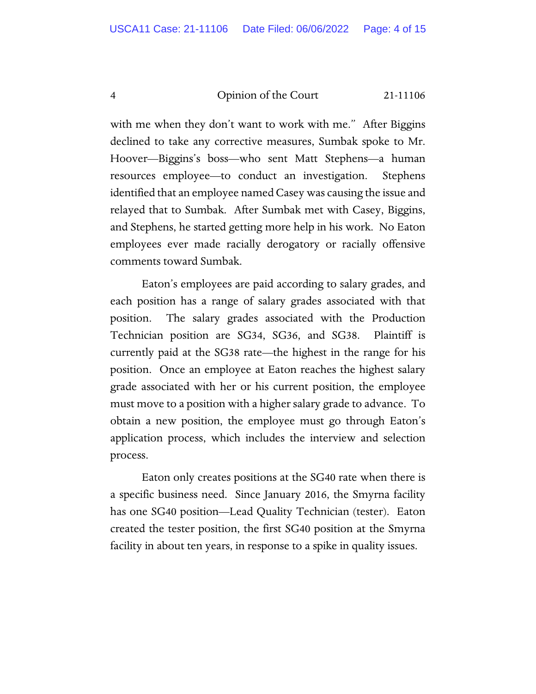with me when they don't want to work with me." After Biggins declined to take any corrective measures, Sumbak spoke to Mr. Hoover—Biggins's boss—who sent Matt Stephens—a human resources employee—to conduct an investigation. Stephens identified that an employee named Casey was causing the issue and relayed that to Sumbak. After Sumbak met with Casey, Biggins, and Stephens, he started getting more help in his work. No Eaton employees ever made racially derogatory or racially offensive comments toward Sumbak.

Eaton's employees are paid according to salary grades, and each position has a range of salary grades associated with that position. The salary grades associated with the Production Technician position are SG34, SG36, and SG38. Plaintiff is currently paid at the SG38 rate—the highest in the range for his position. Once an employee at Eaton reaches the highest salary grade associated with her or his current position, the employee must move to a position with a higher salary grade to advance. To obtain a new position, the employee must go through Eaton's application process, which includes the interview and selection process.

Eaton only creates positions at the SG40 rate when there is a specific business need. Since January 2016, the Smyrna facility has one SG40 position—Lead Quality Technician (tester). Eaton created the tester position, the first SG40 position at the Smyrna facility in about ten years, in response to a spike in quality issues.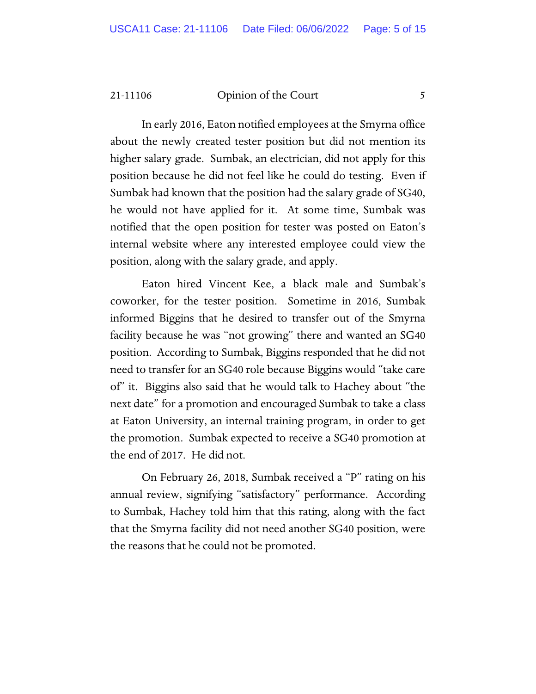In early 2016, Eaton notified employees at the Smyrna office about the newly created tester position but did not mention its higher salary grade. Sumbak, an electrician, did not apply for this position because he did not feel like he could do testing. Even if Sumbak had known that the position had the salary grade of SG40, he would not have applied for it. At some time, Sumbak was notified that the open position for tester was posted on Eaton's internal website where any interested employee could view the position, along with the salary grade, and apply.

Eaton hired Vincent Kee, a black male and Sumbak's coworker, for the tester position. Sometime in 2016, Sumbak informed Biggins that he desired to transfer out of the Smyrna facility because he was "not growing" there and wanted an SG40 position. According to Sumbak, Biggins responded that he did not need to transfer for an SG40 role because Biggins would "take care of" it. Biggins also said that he would talk to Hachey about "the next date" for a promotion and encouraged Sumbak to take a class at Eaton University, an internal training program, in order to get the promotion. Sumbak expected to receive a SG40 promotion at the end of 2017. He did not.

On February 26, 2018, Sumbak received a "P" rating on his annual review, signifying "satisfactory" performance. According to Sumbak, Hachey told him that this rating, along with the fact that the Smyrna facility did not need another SG40 position, were the reasons that he could not be promoted.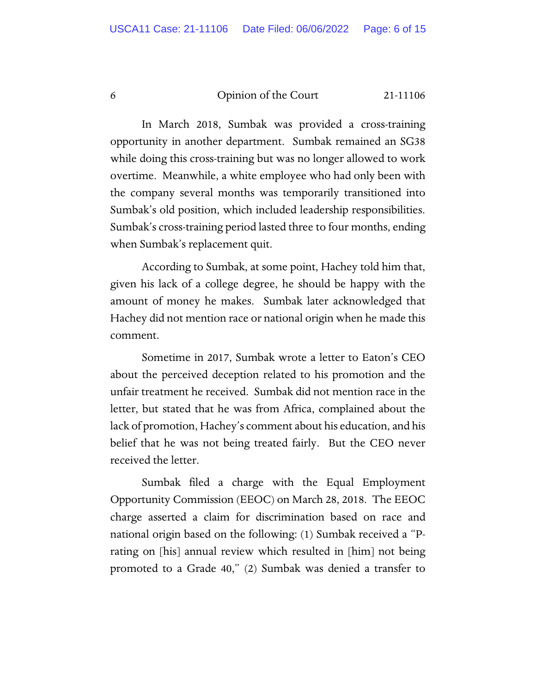In March 2018, Sumbak was provided a cross-training opportunity in another department. Sumbak remained an SG38 while doing this cross-training but was no longer allowed to work overtime. Meanwhile, a white employee who had only been with the company several months was temporarily transitioned into Sumbak's old position, which included leadership responsibilities. Sumbak's cross-training period lasted three to four months, ending when Sumbak's replacement quit.

According to Sumbak, at some point, Hachey told him that, given his lack of a college degree, he should be happy with the amount of money he makes. Sumbak later acknowledged that Hachey did not mention race or national origin when he made this comment.

Sometime in 2017, Sumbak wrote a letter to Eaton's CEO about the perceived deception related to his promotion and the unfair treatment he received. Sumbak did not mention race in the letter, but stated that he was from Africa, complained about the lack of promotion, Hachey's comment about his education, and his belief that he was not being treated fairly. But the CEO never received the letter.

Sumbak filed a charge with the Equal Employment Opportunity Commission (EEOC) on March 28, 2018. The EEOC charge asserted a claim for discrimination based on race and national origin based on the following: (1) Sumbak received a "Prating on [his] annual review which resulted in [him] not being promoted to a Grade 40," (2) Sumbak was denied a transfer to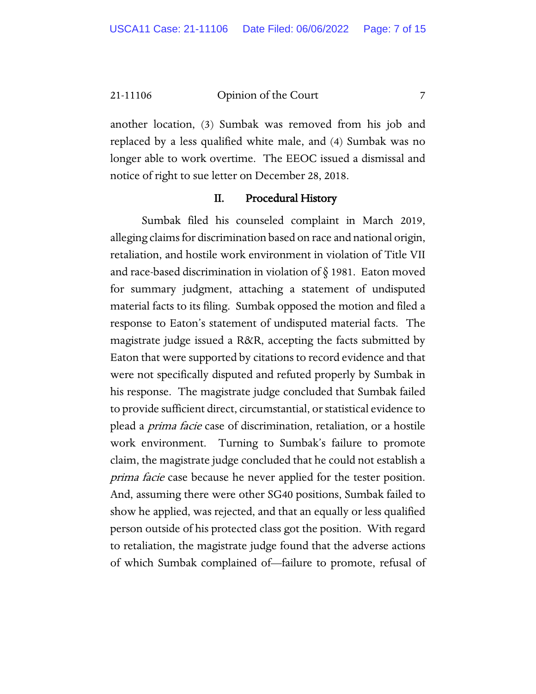another location, (3) Sumbak was removed from his job and replaced by a less qualified white male, and (4) Sumbak was no longer able to work overtime. The EEOC issued a dismissal and notice of right to sue letter on December 28, 2018.

#### II. Procedural History

Sumbak filed his counseled complaint in March 2019, alleging claims for discrimination based on race and national origin, retaliation, and hostile work environment in violation of Title VII and race-based discrimination in violation of § 1981. Eaton moved for summary judgment, attaching a statement of undisputed material facts to its filing. Sumbak opposed the motion and filed a response to Eaton's statement of undisputed material facts. The magistrate judge issued a R&R, accepting the facts submitted by Eaton that were supported by citations to record evidence and that were not specifically disputed and refuted properly by Sumbak in his response. The magistrate judge concluded that Sumbak failed to provide sufficient direct, circumstantial, or statistical evidence to plead a prima facie case of discrimination, retaliation, or a hostile work environment. Turning to Sumbak's failure to promote claim, the magistrate judge concluded that he could not establish a prima facie case because he never applied for the tester position. And, assuming there were other SG40 positions, Sumbak failed to show he applied, was rejected, and that an equally or less qualified person outside of his protected class got the position. With regard to retaliation, the magistrate judge found that the adverse actions of which Sumbak complained of—failure to promote, refusal of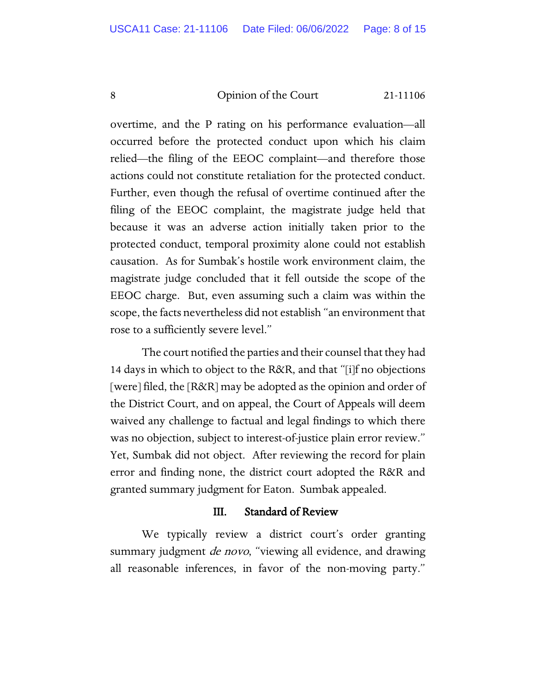overtime, and the P rating on his performance evaluation—all occurred before the protected conduct upon which his claim relied—the filing of the EEOC complaint—and therefore those actions could not constitute retaliation for the protected conduct. Further, even though the refusal of overtime continued after the filing of the EEOC complaint, the magistrate judge held that because it was an adverse action initially taken prior to the protected conduct, temporal proximity alone could not establish causation. As for Sumbak's hostile work environment claim, the magistrate judge concluded that it fell outside the scope of the EEOC charge. But, even assuming such a claim was within the scope, the facts nevertheless did not establish "an environment that rose to a sufficiently severe level."

The court notified the parties and their counsel that they had 14 days in which to object to the R&R, and that "[i]f no objections [were] filed, the [R&R] may be adopted as the opinion and order of the District Court, and on appeal, the Court of Appeals will deem waived any challenge to factual and legal findings to which there was no objection, subject to interest-of-justice plain error review." Yet, Sumbak did not object. After reviewing the record for plain error and finding none, the district court adopted the R&R and granted summary judgment for Eaton. Sumbak appealed.

## III. Standard of Review

We typically review a district court's order granting summary judgment *de novo*, "viewing all evidence, and drawing all reasonable inferences, in favor of the non-moving party."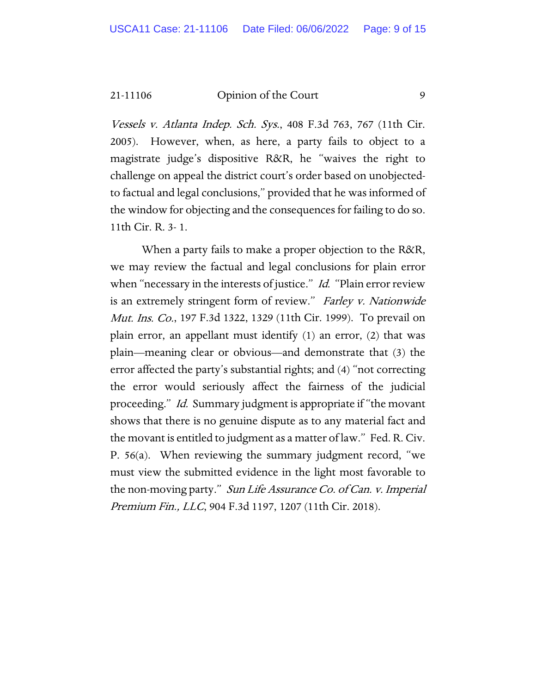Vessels v. Atlanta Indep. Sch. Sys., 408 F.3d 763, 767 (11th Cir. 2005). However, when, as here, a party fails to object to a magistrate judge's dispositive R&R, he "waives the right to challenge on appeal the district court's order based on unobjectedto factual and legal conclusions," provided that he was informed of the window for objecting and the consequences for failing to do so. 11th Cir. R. 3- 1.

When a party fails to make a proper objection to the R&R, we may review the factual and legal conclusions for plain error when "necessary in the interests of justice." Id. "Plain error review is an extremely stringent form of review." Farley v. Nationwide Mut. Ins. Co., 197 F.3d 1322, 1329 (11th Cir. 1999). To prevail on plain error, an appellant must identify (1) an error, (2) that was plain—meaning clear or obvious—and demonstrate that (3) the error affected the party's substantial rights; and (4) "not correcting the error would seriously affect the fairness of the judicial proceeding." Id. Summary judgment is appropriate if "the movant shows that there is no genuine dispute as to any material fact and the movant is entitled to judgment as a matter of law." Fed. R. Civ. P. 56(a). When reviewing the summary judgment record, "we must view the submitted evidence in the light most favorable to the non-moving party." Sun Life Assurance Co. of Can. v. Imperial Premium Fin., LLC, 904 F.3d 1197, 1207 (11th Cir. 2018).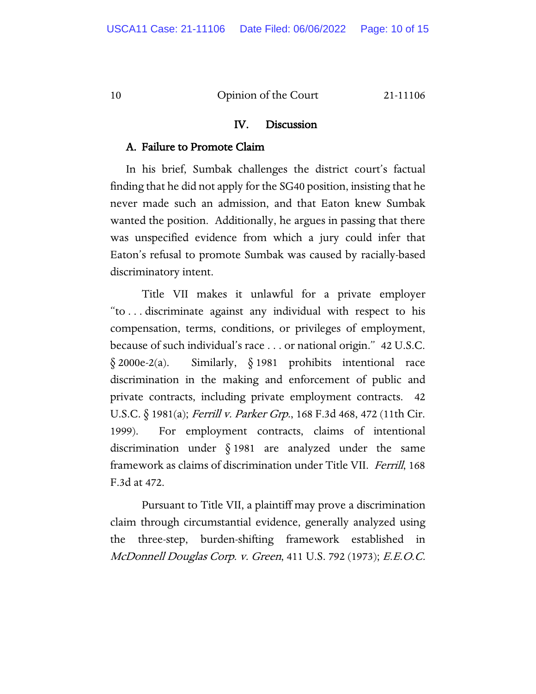#### IV. Discussion

#### A. Failure to Promote Claim

In his brief, Sumbak challenges the district court's factual finding that he did not apply for the SG40 position, insisting that he never made such an admission, and that Eaton knew Sumbak wanted the position. Additionally, he argues in passing that there was unspecified evidence from which a jury could infer that Eaton's refusal to promote Sumbak was caused by racially-based discriminatory intent.

Title VII makes it unlawful for a private employer "to . . . discriminate against any individual with respect to his compensation, terms, conditions, or privileges of employment, because of such individual's race . . . or national origin." 42 U.S.C.  $\S$  2000e-2(a). Similarly,  $\S$  1981 prohibits intentional race discrimination in the making and enforcement of public and private contracts, including private employment contracts. 42 U.S.C. § 1981(a); Ferrill v. Parker Grp., 168 F.3d 468, 472 (11th Cir. 1999). For employment contracts, claims of intentional discrimination under § 1981 are analyzed under the same framework as claims of discrimination under Title VII. Ferrill, 168 F.3d at 472.

Pursuant to Title VII, a plaintiff may prove a discrimination claim through circumstantial evidence, generally analyzed using the three-step, burden-shifting framework established in McDonnell Douglas Corp. v. Green, 411 U.S. 792 (1973); E.E.O.C.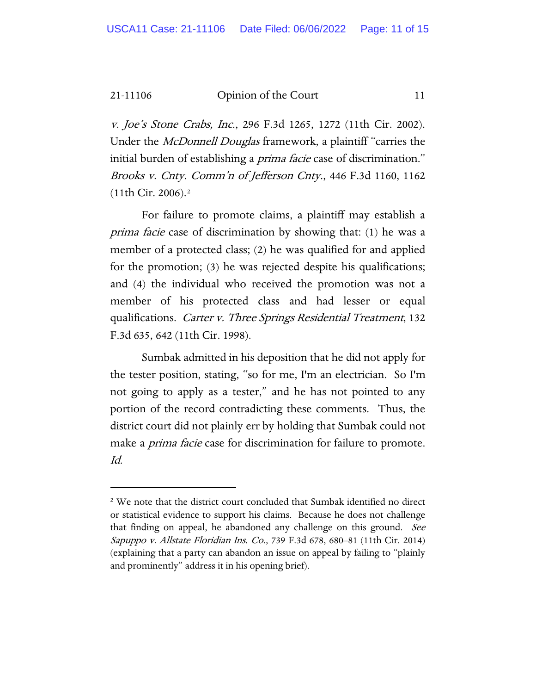v. Joe's Stone Crabs, Inc., 296 F.3d 1265, 1272 (11th Cir. 2002). Under the *McDonnell Douglas* framework, a plaintiff "carries the initial burden of establishing a *prima facie* case of discrimination." Brooks v. Cnty. Comm'n of Jefferson Cnty., 446 F.3d 1160, 1162 (11th Cir. 2006).[2](#page-10-0)

For failure to promote claims, a plaintiff may establish a prima facie case of discrimination by showing that: (1) he was a member of a protected class; (2) he was qualified for and applied for the promotion; (3) he was rejected despite his qualifications; and (4) the individual who received the promotion was not a member of his protected class and had lesser or equal qualifications. Carter v. Three Springs Residential Treatment, 132 F.3d 635, 642 (11th Cir. 1998).

Sumbak admitted in his deposition that he did not apply for the tester position, stating, "so for me, I'm an electrician. So I'm not going to apply as a tester," and he has not pointed to any portion of the record contradicting these comments. Thus, the district court did not plainly err by holding that Sumbak could not make a *prima facie* case for discrimination for failure to promote. Id.

<span id="page-10-0"></span><sup>2</sup> We note that the district court concluded that Sumbak identified no direct or statistical evidence to support his claims. Because he does not challenge that finding on appeal, he abandoned any challenge on this ground. See Sapuppo v. Allstate Floridian Ins. Co., 739 F.3d 678, 680-81 (11th Cir. 2014) (explaining that a party can abandon an issue on appeal by failing to "plainly and prominently" address it in his opening brief).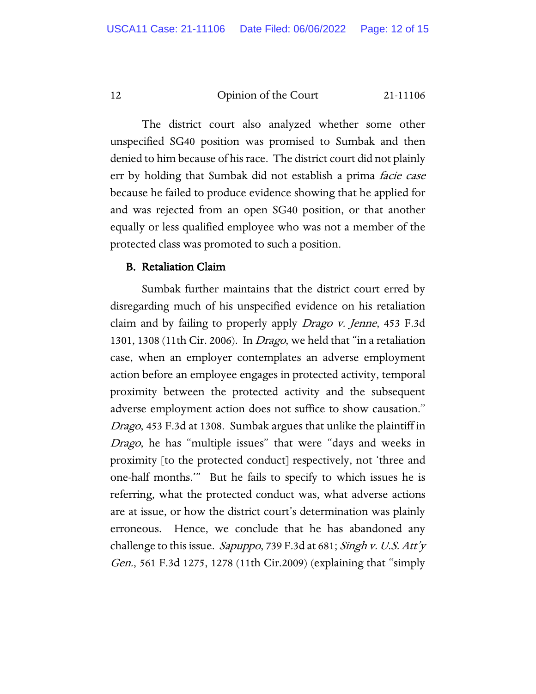The district court also analyzed whether some other unspecified SG40 position was promised to Sumbak and then denied to him because of his race. The district court did not plainly err by holding that Sumbak did not establish a prima facie case because he failed to produce evidence showing that he applied for and was rejected from an open SG40 position, or that another equally or less qualified employee who was not a member of the protected class was promoted to such a position.

#### B. Retaliation Claim

Sumbak further maintains that the district court erred by disregarding much of his unspecified evidence on his retaliation claim and by failing to properly apply Drago v. Jenne, 453 F.3d 1301, 1308 (11th Cir. 2006). In *Drago*, we held that "in a retaliation case, when an employer contemplates an adverse employment action before an employee engages in protected activity, temporal proximity between the protected activity and the subsequent adverse employment action does not suffice to show causation." Drago, 453 F.3d at 1308. Sumbak argues that unlike the plaintiff in Drago, he has "multiple issues" that were "days and weeks in proximity [to the protected conduct] respectively, not 'three and one-half months.'" But he fails to specify to which issues he is referring, what the protected conduct was, what adverse actions are at issue, or how the district court's determination was plainly erroneous. Hence, we conclude that he has abandoned any challenge to this issue. Sapuppo, 739 F.3d at 681; Singh v. U.S. Att'y Gen., 561 F.3d 1275, 1278 (11th Cir.2009) (explaining that "simply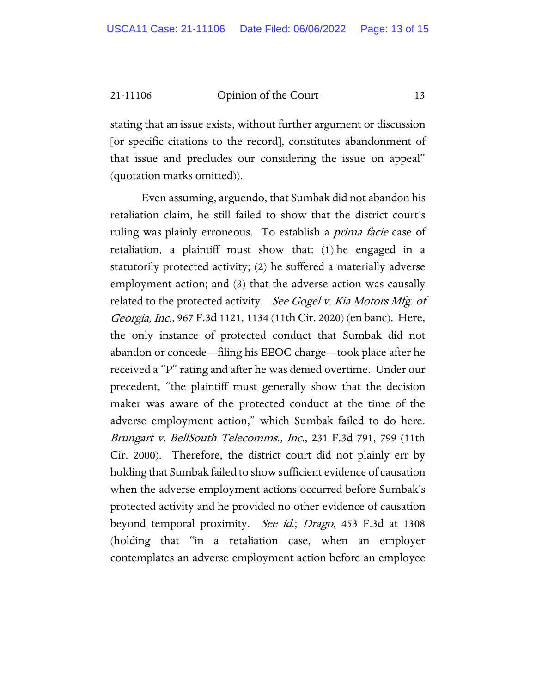stating that an issue exists, without further argument or discussion [or specific citations to the record], constitutes abandonment of that issue and precludes our considering the issue on appeal" (quotation marks omitted)).

Even assuming, arguendo, that Sumbak did not abandon his retaliation claim, he still failed to show that the district court's ruling was plainly erroneous. To establish a prima facie case of retaliation, a plaintiff must show that: (1) he engaged in a statutorily protected activity; (2) he suffered a materially adverse employment action; and (3) that the adverse action was causally related to the protected activity. See Gogel v. Kia Motors Mfg. of Georgia, Inc., 967 F.3d 1121, 1134 (11th Cir. 2020) (en banc). Here, the only instance of protected conduct that Sumbak did not abandon or concede—filing his EEOC charge—took place after he received a "P" rating and after he was denied overtime. Under our precedent, "the plaintiff must generally show that the decision maker was aware of the protected conduct at the time of the adverse employment action," which Sumbak failed to do here. Brungart v. BellSouth Telecomms., Inc., 231 F.3d 791, 799 (11th Cir. 2000). Therefore, the district court did not plainly err by holding that Sumbak failed to show sufficient evidence of causation when the adverse employment actions occurred before Sumbak's protected activity and he provided no other evidence of causation beyond temporal proximity. See id.; Drago, 453 F.3d at 1308 (holding that "in a retaliation case, when an employer contemplates an adverse employment action before an employee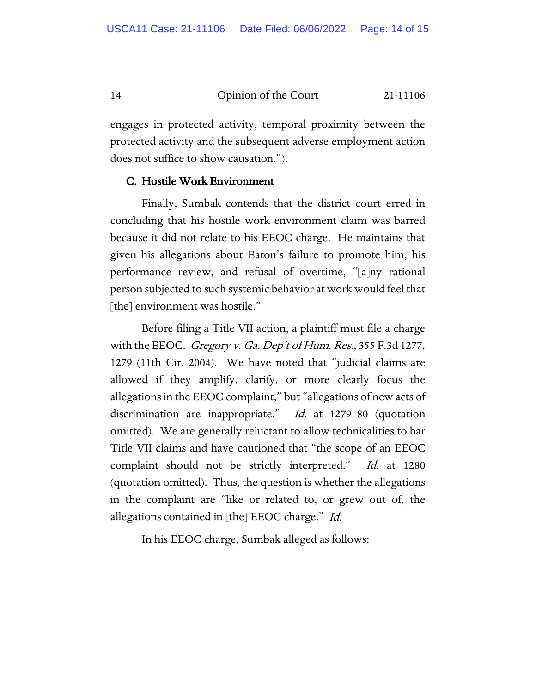engages in protected activity, temporal proximity between the protected activity and the subsequent adverse employment action does not suffice to show causation.").

#### C. Hostile Work Environment

Finally, Sumbak contends that the district court erred in concluding that his hostile work environment claim was barred because it did not relate to his EEOC charge. He maintains that given his allegations about Eaton's failure to promote him, his performance review, and refusal of overtime, "[a]ny rational person subjected to such systemic behavior at work would feel that [the] environment was hostile."

Before filing a Title VII action, a plaintiff must file a charge with the EEOC. Gregory v. Ga. Dep't of Hum. Res., 355 F.3d 1277, 1279 (11th Cir. 2004). We have noted that "judicial claims are allowed if they amplify, clarify, or more clearly focus the allegations in the EEOC complaint," but "allegations of new acts of discrimination are inappropriate." *Id.* at 1279–80 (quotation omitted). We are generally reluctant to allow technicalities to bar Title VII claims and have cautioned that "the scope of an EEOC complaint should not be strictly interpreted." Id. at 1280 (quotation omitted). Thus, the question is whether the allegations in the complaint are "like or related to, or grew out of, the allegations contained in [the] EEOC charge." Id.

In his EEOC charge, Sumbak alleged as follows: